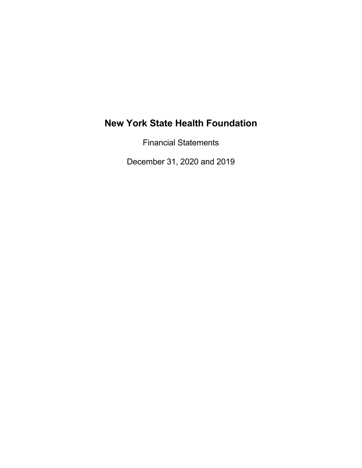Financial Statements

December 31, 2020 and 2019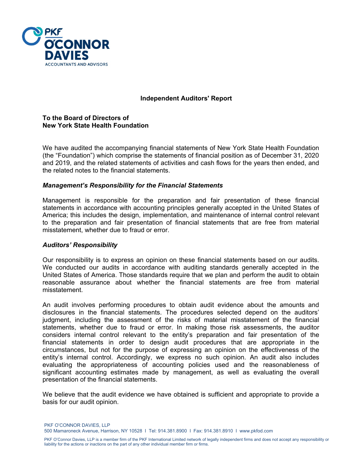

### **Independent Auditors' Report**

#### **To the Board of Directors of New York State Health Foundation**

We have audited the accompanying financial statements of New York State Health Foundation (the "Foundation") which comprise the statements of financial position as of December 31, 2020 and 2019, and the related statements of activities and cash flows for the years then ended, and the related notes to the financial statements.

# *Management's Responsibility for the Financial Statements*

Management is responsible for the preparation and fair presentation of these financial statements in accordance with accounting principles generally accepted in the United States of America; this includes the design, implementation, and maintenance of internal control relevant to the preparation and fair presentation of financial statements that are free from material misstatement, whether due to fraud or error.

#### *Auditors' Responsibility*

Our responsibility is to express an opinion on these financial statements based on our audits. We conducted our audits in accordance with auditing standards generally accepted in the United States of America. Those standards require that we plan and perform the audit to obtain reasonable assurance about whether the financial statements are free from material misstatement.

An audit involves performing procedures to obtain audit evidence about the amounts and disclosures in the financial statements. The procedures selected depend on the auditors' judgment, including the assessment of the risks of material misstatement of the financial statements, whether due to fraud or error. In making those risk assessments, the auditor considers internal control relevant to the entity's preparation and fair presentation of the financial statements in order to design audit procedures that are appropriate in the circumstances, but not for the purpose of expressing an opinion on the effectiveness of the entity's internal control. Accordingly, we express no such opinion. An audit also includes evaluating the appropriateness of accounting policies used and the reasonableness of significant accounting estimates made by management, as well as evaluating the overall presentation of the financial statements.

We believe that the audit evidence we have obtained is sufficient and appropriate to provide a basis for our audit opinion.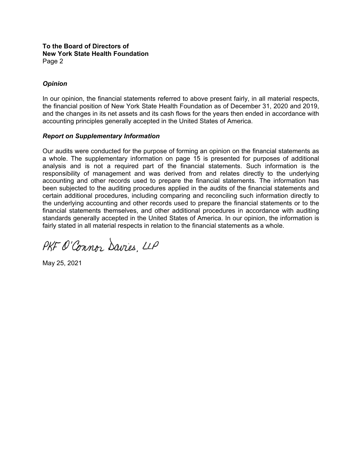#### **To the Board of Directors of New York State Health Foundation**  Page 2

# *Opinion*

In our opinion, the financial statements referred to above present fairly, in all material respects, the financial position of New York State Health Foundation as of December 31, 2020 and 2019, and the changes in its net assets and its cash flows for the years then ended in accordance with accounting principles generally accepted in the United States of America.

# *Report on Supplementary Information*

Our audits were conducted for the purpose of forming an opinion on the financial statements as a whole. The supplementary information on page 15 is presented for purposes of additional analysis and is not a required part of the financial statements. Such information is the responsibility of management and was derived from and relates directly to the underlying accounting and other records used to prepare the financial statements. The information has been subjected to the auditing procedures applied in the audits of the financial statements and certain additional procedures, including comparing and reconciling such information directly to the underlying accounting and other records used to prepare the financial statements or to the financial statements themselves, and other additional procedures in accordance with auditing standards generally accepted in the United States of America. In our opinion, the information is fairly stated in all material respects in relation to the financial statements as a whole.

PKF O'Connor Davies LLP

May 25, 2021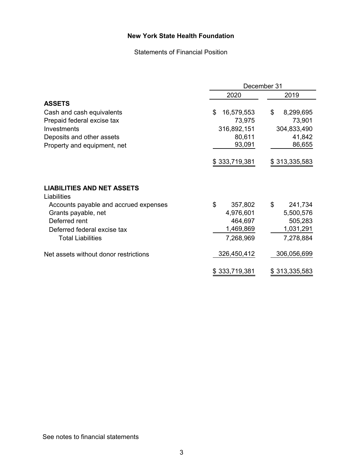Statements of Financial Position

|                                                  | December 31      |                 |  |  |
|--------------------------------------------------|------------------|-----------------|--|--|
|                                                  | 2020             | 2019            |  |  |
| <b>ASSETS</b>                                    |                  |                 |  |  |
| Cash and cash equivalents                        | \$<br>16,579,553 | \$<br>8,299,695 |  |  |
| Prepaid federal excise tax                       | 73,975           | 73,901          |  |  |
| Investments                                      | 316,892,151      | 304,833,490     |  |  |
| Deposits and other assets                        | 80,611           | 41,842          |  |  |
| Property and equipment, net                      | 93,091           | 86,655          |  |  |
|                                                  | \$333,719,381    | \$313,335,583   |  |  |
| <b>LIABILITIES AND NET ASSETS</b><br>Liabilities |                  |                 |  |  |
| Accounts payable and accrued expenses            | \$<br>357,802    | \$<br>241,734   |  |  |
| Grants payable, net                              | 4,976,601        | 5,500,576       |  |  |
| Deferred rent                                    | 464,697          | 505,283         |  |  |
| Deferred federal excise tax                      | 1,469,869        | 1,031,291       |  |  |
| <b>Total Liabilities</b>                         | 7,268,969        | 7,278,884       |  |  |
| Net assets without donor restrictions            | 326,450,412      | 306,056,699     |  |  |
|                                                  | \$333,719,381    | \$313,335,583   |  |  |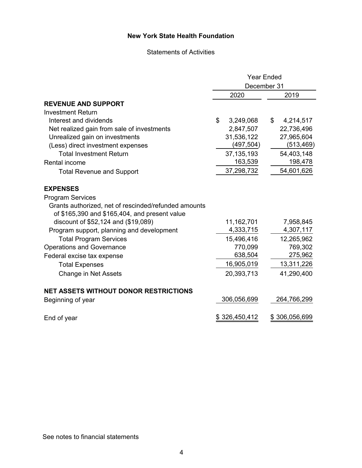#### Statements of Activities

|                                                      | <b>Year Ended</b> |               |    |               |
|------------------------------------------------------|-------------------|---------------|----|---------------|
|                                                      | December 31       |               |    |               |
|                                                      | 2020              |               |    | 2019          |
| <b>REVENUE AND SUPPORT</b>                           |                   |               |    |               |
| <b>Investment Return</b>                             |                   |               |    |               |
| Interest and dividends                               | \$                | 3,249,068     | \$ | 4,214,517     |
| Net realized gain from sale of investments           |                   | 2,847,507     |    | 22,736,496    |
| Unrealized gain on investments                       |                   | 31,536,122    |    | 27,965,604    |
| (Less) direct investment expenses                    |                   | (497, 504)    |    | (513, 469)    |
| <b>Total Investment Return</b>                       |                   | 37, 135, 193  |    | 54,403,148    |
| Rental income                                        |                   | 163,539       |    | 198,478       |
| <b>Total Revenue and Support</b>                     |                   | 37,298,732    |    | 54,601,626    |
| <b>EXPENSES</b>                                      |                   |               |    |               |
| <b>Program Services</b>                              |                   |               |    |               |
| Grants authorized, net of rescinded/refunded amounts |                   |               |    |               |
| of \$165,390 and \$165,404, and present value        |                   |               |    |               |
| discount of \$52,124 and (\$19,089)                  |                   | 11,162,701    |    | 7,958,845     |
| Program support, planning and development            |                   | 4,333,715     |    | 4,307,117     |
| <b>Total Program Services</b>                        |                   | 15,496,416    |    | 12,265,962    |
| <b>Operations and Governance</b>                     |                   | 770,099       |    | 769,302       |
| Federal excise tax expense                           |                   | 638,504       |    | 275,962       |
| <b>Total Expenses</b>                                |                   | 16,905,019    |    | 13,311,226    |
| Change in Net Assets                                 |                   | 20,393,713    |    | 41,290,400    |
| <b>NET ASSETS WITHOUT DONOR RESTRICTIONS</b>         |                   |               |    |               |
| Beginning of year                                    |                   | 306,056,699   |    | 264,766,299   |
| End of year                                          |                   | \$326,450,412 |    | \$306,056,699 |

See notes to financial statements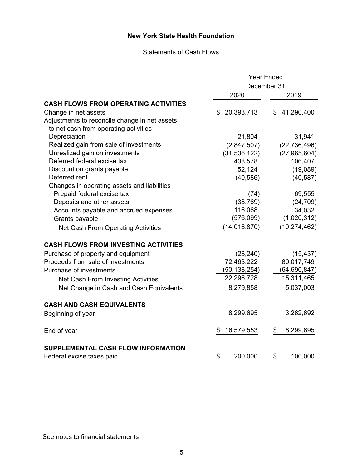#### Statements of Cash Flows

|                                               | <b>Year Ended</b> |                  |  |  |
|-----------------------------------------------|-------------------|------------------|--|--|
|                                               | December 31       |                  |  |  |
|                                               | 2020              | 2019             |  |  |
| <b>CASH FLOWS FROM OPERATING ACTIVITIES</b>   |                   |                  |  |  |
| Change in net assets                          | \$20,393,713      | 41,290,400<br>\$ |  |  |
| Adjustments to reconcile change in net assets |                   |                  |  |  |
| to net cash from operating activities         |                   |                  |  |  |
| Depreciation                                  | 21,804            | 31,941           |  |  |
| Realized gain from sale of investments        | (2,847,507)       | (22, 736, 496)   |  |  |
| Unrealized gain on investments                | (31, 536, 122)    | (27,965,604)     |  |  |
| Deferred federal excise tax                   | 438,578           | 106,407          |  |  |
| Discount on grants payable                    | 52,124            | (19,089)         |  |  |
| Deferred rent                                 | (40, 586)         | (40, 587)        |  |  |
| Changes in operating assets and liabilities   |                   |                  |  |  |
| Prepaid federal excise tax                    | (74)              | 69,555           |  |  |
| Deposits and other assets                     | (38, 769)         | (24, 709)        |  |  |
| Accounts payable and accrued expenses         | 116,068           | 34,032           |  |  |
| Grants payable                                | (576,099)         | (1,020,312)      |  |  |
| Net Cash From Operating Activities            | (14,016,870)      | (10,274,462)     |  |  |
| <b>CASH FLOWS FROM INVESTING ACTIVITIES</b>   |                   |                  |  |  |
| Purchase of property and equipment            | (28, 240)         | (15, 437)        |  |  |
| Proceeds from sale of investments             | 72,463,222        | 80,017,749       |  |  |
| Purchase of investments                       | (50, 138, 254)    | (64, 690, 847)   |  |  |
| Net Cash From Investing Activities            | 22,296,728        | 15,311,465       |  |  |
| Net Change in Cash and Cash Equivalents       | 8,279,858         | 5,037,003        |  |  |
| <b>CASH AND CASH EQUIVALENTS</b>              |                   |                  |  |  |
| Beginning of year                             | 8,299,695         | 3,262,692        |  |  |
| End of year                                   | 16,579,553<br>\$  | 8,299,695<br>\$  |  |  |
| SUPPLEMENTAL CASH FLOW INFORMATION            |                   |                  |  |  |
| Federal excise taxes paid                     | \$<br>200,000     | \$<br>100,000    |  |  |

See notes to financial statements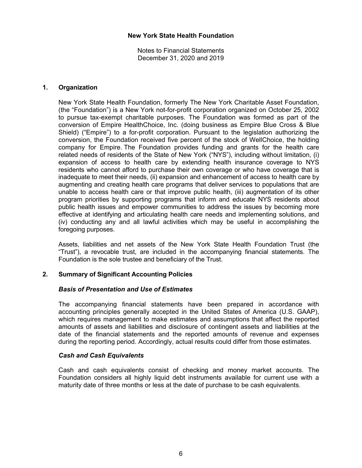# **1. Organization**

New York State Health Foundation, formerly The New York Charitable Asset Foundation, (the "Foundation") is a New York not-for-profit corporation organized on October 25, 2002 to pursue tax-exempt charitable purposes. The Foundation was formed as part of the conversion of Empire HealthChoice, Inc. (doing business as Empire Blue Cross & Blue Shield) ("Empire") to a for-profit corporation. Pursuant to the legislation authorizing the conversion, the Foundation received five percent of the stock of WellChoice, the holding company for Empire. The Foundation provides funding and grants for the health care related needs of residents of the State of New York ("NYS"), including without limitation, (i) expansion of access to health care by extending health insurance coverage to NYS residents who cannot afford to purchase their own coverage or who have coverage that is inadequate to meet their needs, (ii) expansion and enhancement of access to health care by augmenting and creating health care programs that deliver services to populations that are unable to access health care or that improve public health, (iii) augmentation of its other program priorities by supporting programs that inform and educate NYS residents about public health issues and empower communities to address the issues by becoming more effective at identifying and articulating health care needs and implementing solutions, and (iv) conducting any and all lawful activities which may be useful in accomplishing the foregoing purposes.

Assets, liabilities and net assets of the New York State Health Foundation Trust (the "Trust"), a revocable trust, are included in the accompanying financial statements. The Foundation is the sole trustee and beneficiary of the Trust.

# **2. Summary of Significant Accounting Policies**

#### *Basis of Presentation and Use of Estimates*

The accompanying financial statements have been prepared in accordance with accounting principles generally accepted in the United States of America (U.S. GAAP), which requires management to make estimates and assumptions that affect the reported amounts of assets and liabilities and disclosure of contingent assets and liabilities at the date of the financial statements and the reported amounts of revenue and expenses during the reporting period. Accordingly, actual results could differ from those estimates.

#### *Cash and Cash Equivalents*

Cash and cash equivalents consist of checking and money market accounts. The Foundation considers all highly liquid debt instruments available for current use with a maturity date of three months or less at the date of purchase to be cash equivalents.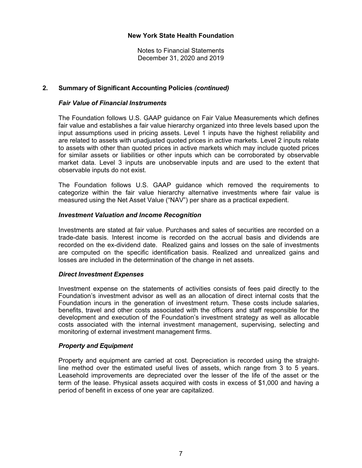Notes to Financial Statements December 31, 2020 and 2019

# **2. Summary of Significant Accounting Policies** *(continued)*

#### *Fair Value of Financial Instruments*

The Foundation follows U.S. GAAP guidance on Fair Value Measurements which defines fair value and establishes a fair value hierarchy organized into three levels based upon the input assumptions used in pricing assets. Level 1 inputs have the highest reliability and are related to assets with unadjusted quoted prices in active markets. Level 2 inputs relate to assets with other than quoted prices in active markets which may include quoted prices for similar assets or liabilities or other inputs which can be corroborated by observable market data. Level 3 inputs are unobservable inputs and are used to the extent that observable inputs do not exist.

The Foundation follows U.S. GAAP guidance which removed the requirements to categorize within the fair value hierarchy alternative investments where fair value is measured using the Net Asset Value ("NAV") per share as a practical expedient.

#### *Investment Valuation and Income Recognition*

Investments are stated at fair value. Purchases and sales of securities are recorded on a trade-date basis. Interest income is recorded on the accrual basis and dividends are recorded on the ex-dividend date. Realized gains and losses on the sale of investments are computed on the specific identification basis. Realized and unrealized gains and losses are included in the determination of the change in net assets.

#### *Direct Investment Expenses*

Investment expense on the statements of activities consists of fees paid directly to the Foundation's investment advisor as well as an allocation of direct internal costs that the Foundation incurs in the generation of investment return. These costs include salaries, benefits, travel and other costs associated with the officers and staff responsible for the development and execution of the Foundation's investment strategy as well as allocable costs associated with the internal investment management, supervising, selecting and monitoring of external investment management firms.

#### *Property and Equipment*

Property and equipment are carried at cost. Depreciation is recorded using the straightline method over the estimated useful lives of assets, which range from 3 to 5 years. Leasehold improvements are depreciated over the lesser of the life of the asset or the term of the lease. Physical assets acquired with costs in excess of \$1,000 and having a period of benefit in excess of one year are capitalized.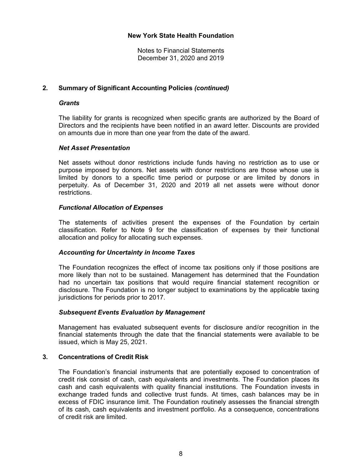Notes to Financial Statements December 31, 2020 and 2019

# **2. Summary of Significant Accounting Policies** *(continued)*

#### *Grants*

The liability for grants is recognized when specific grants are authorized by the Board of Directors and the recipients have been notified in an award letter. Discounts are provided on amounts due in more than one year from the date of the award.

#### *Net Asset Presentation*

Net assets without donor restrictions include funds having no restriction as to use or purpose imposed by donors. Net assets with donor restrictions are those whose use is limited by donors to a specific time period or purpose or are limited by donors in perpetuity. As of December 31, 2020 and 2019 all net assets were without donor restrictions.

#### *Functional Allocation of Expenses*

The statements of activities present the expenses of the Foundation by certain classification. Refer to Note 9 for the classification of expenses by their functional allocation and policy for allocating such expenses.

#### *Accounting for Uncertainty in Income Taxes*

The Foundation recognizes the effect of income tax positions only if those positions are more likely than not to be sustained. Management has determined that the Foundation had no uncertain tax positions that would require financial statement recognition or disclosure. The Foundation is no longer subject to examinations by the applicable taxing jurisdictions for periods prior to 2017.

#### *Subsequent Events Evaluation by Management*

Management has evaluated subsequent events for disclosure and/or recognition in the financial statements through the date that the financial statements were available to be issued, which is May 25, 2021.

#### **3. Concentrations of Credit Risk**

The Foundation's financial instruments that are potentially exposed to concentration of credit risk consist of cash, cash equivalents and investments. The Foundation places its cash and cash equivalents with quality financial institutions. The Foundation invests in exchange traded funds and collective trust funds. At times, cash balances may be in excess of FDIC insurance limit. The Foundation routinely assesses the financial strength of its cash, cash equivalents and investment portfolio. As a consequence, concentrations of credit risk are limited.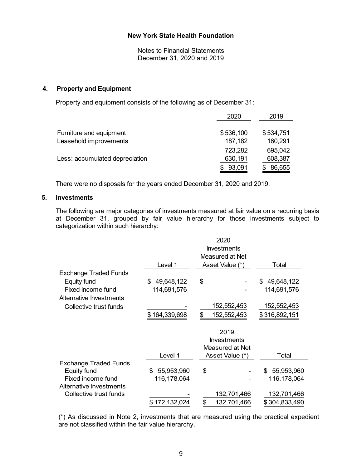Notes to Financial Statements December 31, 2020 and 2019

# **4. Property and Equipment**

Property and equipment consists of the following as of December 31:

|                                | 2020      | 2019      |
|--------------------------------|-----------|-----------|
| Furniture and equipment        | \$536,100 | \$534,751 |
| Leasehold improvements         | 187,182   | 160,291   |
|                                | 723,282   | 695,042   |
| Less: accumulated depreciation | 630,191   | 608,387   |
|                                | 93,091    | 86,655    |

There were no disposals for the years ended December 31, 2020 and 2019.

#### **5. Investments**

The following are major categories of investments measured at fair value on a recurring basis at December 31, grouped by fair value hierarchy for those investments subject to categorization within such hierarchy:

|                              | 2020             |                    |                   |  |  |  |
|------------------------------|------------------|--------------------|-------------------|--|--|--|
|                              |                  | <b>Investments</b> |                   |  |  |  |
|                              |                  | Measured at Net    |                   |  |  |  |
|                              | Level 1          | Asset Value (*)    | Total             |  |  |  |
| <b>Exchange Traded Funds</b> |                  |                    |                   |  |  |  |
| Equity fund                  | 49,648,122<br>\$ | \$                 | 49,648,122<br>\$. |  |  |  |
| Fixed income fund            | 114,691,576      |                    | 114,691,576       |  |  |  |
| Alternative Investments      |                  |                    |                   |  |  |  |
| Collective trust funds       |                  | 152,552,453        | 152,552,453       |  |  |  |
|                              | \$164,339,698    | \$<br>152,552,453  | \$316,892,151     |  |  |  |
|                              |                  | 2019               |                   |  |  |  |
|                              |                  | <b>Investments</b> |                   |  |  |  |
|                              |                  | Measured at Net    |                   |  |  |  |
|                              | Level 1          | Asset Value (*)    | Total             |  |  |  |
| <b>Exchange Traded Funds</b> |                  |                    |                   |  |  |  |
| Equity fund                  | 55,953,960<br>\$ | \$                 | 55,953,960<br>S   |  |  |  |
| Fixed income fund            | 116,178,064      |                    | 116,178,064       |  |  |  |
| Alternative Investments      |                  |                    |                   |  |  |  |
| Collective trust funds       |                  | 132,701,466        | 132,701,466       |  |  |  |
|                              | \$172,132,024    | \$<br>132,701,466  | \$304,833,490     |  |  |  |

(\*) As discussed in Note 2, investments that are measured using the practical expedient are not classified within the fair value hierarchy.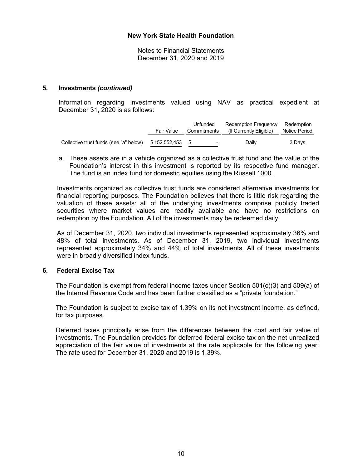### **5. Investments** *(continued)*

Information regarding investments valued using NAV as practical expedient at December 31, 2020 is as follows:

|                                        |                | Unfunded    | Redemption Frequency Redemption |               |
|----------------------------------------|----------------|-------------|---------------------------------|---------------|
|                                        | Fair Value     | Commitments | (If Currently Eligible)         | Notice Period |
| Collective trust funds (see "a" below) | \$ 152,552,453 | $\sim$      | Dailv                           | 3 Davs        |
|                                        |                |             |                                 |               |

a. These assets are in a vehicle organized as a collective trust fund and the value of the Foundation's interest in this investment is reported by its respective fund manager. The fund is an index fund for domestic equities using the Russell 1000.

Investments organized as collective trust funds are considered alternative investments for financial reporting purposes. The Foundation believes that there is little risk regarding the valuation of these assets: all of the underlying investments comprise publicly traded securities where market values are readily available and have no restrictions on redemption by the Foundation. All of the investments may be redeemed daily.

As of December 31, 2020, two individual investments represented approximately 36% and 48% of total investments. As of December 31, 2019, two individual investments represented approximately 34% and 44% of total investments. All of these investments were in broadly diversified index funds.

#### **6. Federal Excise Tax**

The Foundation is exempt from federal income taxes under Section 501(c)(3) and 509(a) of the Internal Revenue Code and has been further classified as a "private foundation."

The Foundation is subject to excise tax of 1.39% on its net investment income, as defined, for tax purposes.

Deferred taxes principally arise from the differences between the cost and fair value of investments. The Foundation provides for deferred federal excise tax on the net unrealized appreciation of the fair value of investments at the rate applicable for the following year. The rate used for December 31, 2020 and 2019 is 1.39%.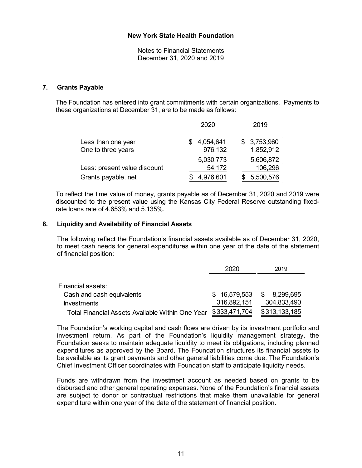Notes to Financial Statements December 31, 2020 and 2019

#### **7. Grants Payable**

The Foundation has entered into grant commitments with certain organizations. Payments to these organizations at December 31, are to be made as follows:

|                              | 2020      | 2019        |
|------------------------------|-----------|-------------|
|                              |           |             |
| Less than one year           | 4,054,641 | \$3,753,960 |
| One to three years           | 976,132   | 1,852,912   |
|                              | 5,030,773 | 5,606,872   |
| Less: present value discount | 54,172    | 106,296     |
| Grants payable, net          | 4,976,601 | 5,500,576   |

To reflect the time value of money, grants payable as of December 31, 2020 and 2019 were discounted to the present value using the Kansas City Federal Reserve outstanding fixedrate loans rate of 4.653% and 5.135%.

#### **8. Liquidity and Availability of Financial Assets**

The following reflect the Foundation's financial assets available as of December 31, 2020, to meet cash needs for general expenditures within one year of the date of the statement of financial position:

|                                                  | 2020          | 2019                       |
|--------------------------------------------------|---------------|----------------------------|
| Financial assets:                                |               |                            |
| Cash and cash equivalents                        |               | $$16,579,553$ $$8,299,695$ |
| <b>Investments</b>                               | 316,892,151   | 304,833,490                |
| Total Financial Assets Available Within One Year | \$333,471,704 | \$313,133,185              |

The Foundation's working capital and cash flows are driven by its investment portfolio and investment return. As part of the Foundation's liquidity management strategy, the Foundation seeks to maintain adequate liquidity to meet its obligations, including planned expenditures as approved by the Board. The Foundation structures its financial assets to be available as its grant payments and other general liabilities come due. The Foundation's Chief Investment Officer coordinates with Foundation staff to anticipate liquidity needs.

Funds are withdrawn from the investment account as needed based on grants to be disbursed and other general operating expenses. None of the Foundation's financial assets are subject to donor or contractual restrictions that make them unavailable for general expenditure within one year of the date of the statement of financial position.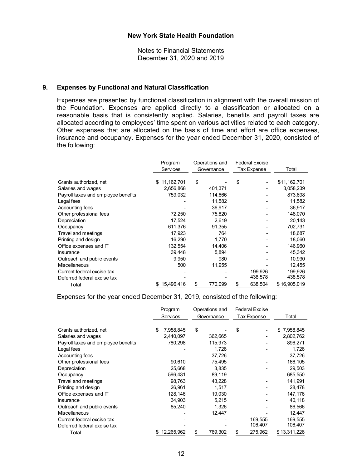#### **9. Expenses by Functional and Natural Classification**

Expenses are presented by functional classification in alignment with the overall mission of the Foundation. Expenses are applied directly to a classification or allocated on a reasonable basis that is consistently applied. Salaries, benefits and payroll taxes are allocated according to employees' time spent on various activities related to each category. Other expenses that are allocated on the basis of time and effort are office expenses, insurance and occupancy. Expenses for the year ended December 31, 2020, consisted of the following:

|                                     | Program          |            | Operations and |             | <b>Federal Excise</b> |              |  |
|-------------------------------------|------------------|------------|----------------|-------------|-----------------------|--------------|--|
|                                     | Services         | Governance |                | Tax Expense |                       | Total        |  |
|                                     |                  |            |                |             |                       |              |  |
| Grants authorized, net              | 11,162,701<br>\$ | \$         |                | \$          |                       | \$11,162,701 |  |
| Salaries and wages                  | 2,656,868        |            | 401,371        |             |                       | 3,058,239    |  |
| Payroll taxes and employee benefits | 759,032          |            | 114,666        |             |                       | 873,698      |  |
| Legal fees                          |                  |            | 11,582         |             |                       | 11,582       |  |
| Accounting fees                     |                  |            | 36,917         |             |                       | 36,917       |  |
| Other professional fees             | 72,250           |            | 75,820         |             |                       | 148,070      |  |
| Depreciation                        | 17,524           |            | 2,619          |             |                       | 20,143       |  |
| Occupancy                           | 611,376          |            | 91,355         |             |                       | 702,731      |  |
| Travel and meetings                 | 17,923           |            | 764            |             |                       | 18,687       |  |
| Printing and design                 | 16,290           |            | 1,770          |             |                       | 18,060       |  |
| Office expenses and IT              | 132,554          |            | 14,406         |             |                       | 146,960      |  |
| Insurance                           | 39,448           |            | 5,894          |             |                       | 45,342       |  |
| Outreach and public events          | 9,950            |            | 980            |             |                       | 10,930       |  |
| Miscellaneous                       | 500              |            | 11,955         |             |                       | 12,455       |  |
| Current federal excise tax          |                  |            |                |             | 199,926               | 199,926      |  |
| Deferred federal excise tax         |                  |            |                |             | 438,578               | 438,578      |  |
| Total                               | 15,496,416       | \$         | 770,099        | \$          | 638,504               | \$16,905,019 |  |

Expenses for the year ended December 31, 2019, consisted of the following:

|                                     |   | Program         | Operations and<br>Governance |         | <b>Federal Excise</b><br>Tax Expense |         |                 |  |
|-------------------------------------|---|-----------------|------------------------------|---------|--------------------------------------|---------|-----------------|--|
|                                     |   | <b>Services</b> |                              |         |                                      |         | Total           |  |
|                                     |   |                 |                              |         |                                      |         |                 |  |
| Grants authorized, net              | S | 7,958,845       | \$                           |         | \$                                   |         | 7,958,845<br>\$ |  |
| Salaries and wages                  |   | 2,440,097       |                              | 362,665 |                                      |         | 2,802,762       |  |
| Payroll taxes and employee benefits |   | 780,298         |                              | 115,973 |                                      |         | 896,271         |  |
| Legal fees                          |   |                 |                              | 1,726   |                                      |         | 1,726           |  |
| Accounting fees                     |   |                 |                              | 37,726  |                                      |         | 37,726          |  |
| Other professional fees             |   | 90,610          |                              | 75,495  |                                      |         | 166,105         |  |
| Depreciation                        |   | 25,668          |                              | 3,835   |                                      |         | 29,503          |  |
| Occupancy                           |   | 596,431         |                              | 89,119  |                                      |         | 685,550         |  |
| Travel and meetings                 |   | 98,763          |                              | 43,228  |                                      |         | 141,991         |  |
| Printing and design                 |   | 26,961          |                              | 1,517   |                                      |         | 28,478          |  |
| Office expenses and IT              |   | 128,146         |                              | 19,030  |                                      |         | 147,176         |  |
| <b>Insurance</b>                    |   | 34,903          |                              | 5,215   |                                      |         | 40,118          |  |
| Outreach and public events          |   | 85,240          |                              | 1,326   |                                      |         | 86,566          |  |
| Miscellaneous                       |   |                 |                              | 12,447  |                                      |         | 12,447          |  |
| Current federal excise tax          |   |                 |                              |         |                                      | 169.555 | 169,555         |  |
| Deferred federal excise tax         |   |                 |                              |         |                                      | 106,407 | 106,407         |  |
| Total                               |   | 12,265,962      |                              | 769,302 | \$                                   | 275,962 | \$13,311,226    |  |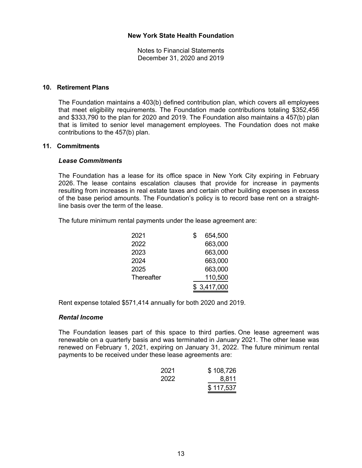# **10. Retirement Plans**

The Foundation maintains a 403(b) defined contribution plan, which covers all employees that meet eligibility requirements. The Foundation made contributions totaling \$352,456 and \$333,790 to the plan for 2020 and 2019. The Foundation also maintains a 457(b) plan that is limited to senior level management employees. The Foundation does not make contributions to the 457(b) plan.

# **11. Commitments**

# *Lease Commitments*

The Foundation has a lease for its office space in New York City expiring in February 2026. The lease contains escalation clauses that provide for increase in payments resulting from increases in real estate taxes and certain other building expenses in excess of the base period amounts. The Foundation's policy is to record base rent on a straightline basis over the term of the lease.

The future minimum rental payments under the lease agreement are:

| 2021       | S | 654,500     |
|------------|---|-------------|
| 2022       |   | 663,000     |
| 2023       |   | 663,000     |
| 2024       |   | 663,000     |
| 2025       |   | 663,000     |
| Thereafter |   | 110,500     |
|            |   | \$3,417,000 |

Rent expense totaled \$571,414 annually for both 2020 and 2019.

#### *Rental Income*

The Foundation leases part of this space to third parties. One lease agreement was renewable on a quarterly basis and was terminated in January 2021. The other lease was renewed on February 1, 2021, expiring on January 31, 2022. The future minimum rental payments to be received under these lease agreements are:

2021 108,726 \$ 2022 8,811 \$ 117,537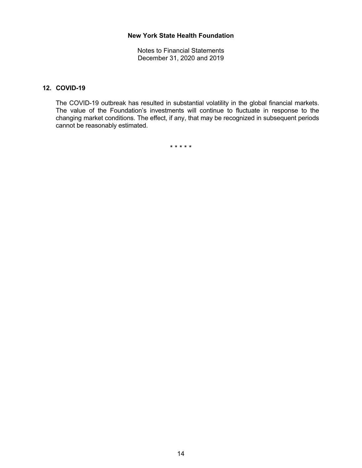Notes to Financial Statements December 31, 2020 and 2019

# **12. COVID-19**

The COVID-19 outbreak has resulted in substantial volatility in the global financial markets. The value of the Foundation's investments will continue to fluctuate in response to the changing market conditions. The effect, if any, that may be recognized in subsequent periods cannot be reasonably estimated.

\* \* \* \* \*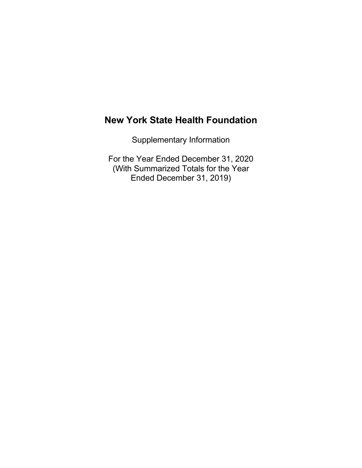Supplementary Information

For the Year Ended December 31, 2020 (With Summarized Totals for the Year Ended December 31, 2019)